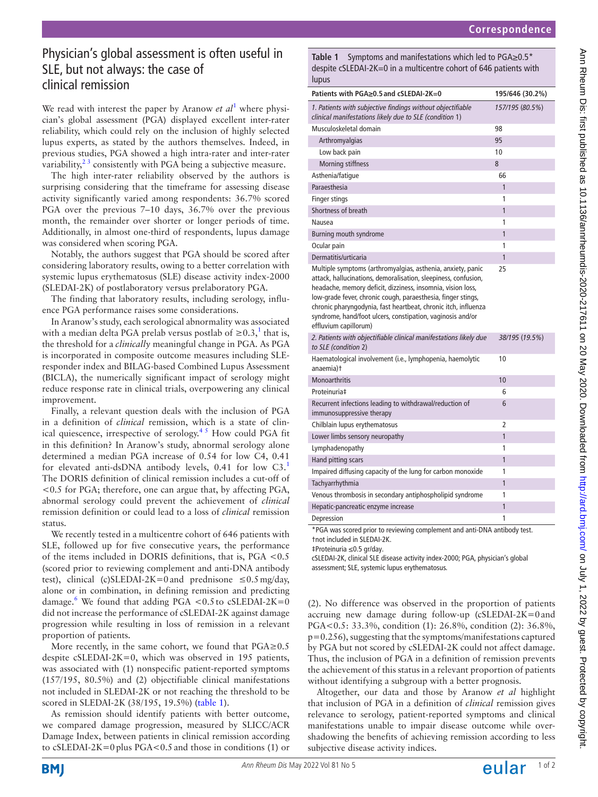# 

# Physician's global assessment is often useful in SLE, but not always: the case of clinical remission

We read with interest the paper by Aranow *et al*<sup>[1](#page-1-0)</sup> where physician's global assessment (PGA) displayed excellent inter-rater reliability, which could rely on the inclusion of highly selected lupus experts, as stated by the authors themselves. Indeed, in previous studies, PGA showed a high intra-rater and inter-rater variability, $2<sup>3</sup>$  consistently with PGA being a subjective measure.

The high inter-rater reliability observed by the authors is surprising considering that the timeframe for assessing disease activity significantly varied among respondents: 36.7% scored PGA over the previous 7–10 days, 36.7% over the previous month, the remainder over shorter or longer periods of time. Additionally, in almost one-third of respondents, lupus damage was considered when scoring PGA.

Notably, the authors suggest that PGA should be scored after considering laboratory results, owing to a better correlation with systemic lupus erythematosus (SLE) disease activity index-2000 (SLEDAI-2K) of postlaboratory versus prelaboratory PGA.

The finding that laboratory results, including serology, influence PGA performance raises some considerations.

In Aranow's study, each serological abnormality was associated with a median delta PGA prelab versus postlab of  $\geq 0.3$ ,<sup>[1](#page-1-0)</sup> that is, the threshold for a *clinically* meaningful change in PGA. As PGA is incorporated in composite outcome measures including SLEresponder index and BILAG-based Combined Lupus Assessment (BICLA), the numerically significant impact of serology might reduce response rate in clinical trials, overpowering any clinical improvement.

Finally, a relevant question deals with the inclusion of PGA in a definition of *clinical* remission, which is a state of clinical quiescence, irrespective of serology.<sup>45</sup> How could PGA fit in this definition? In Aranow's study, abnormal serology alone determined a median PGA increase of 0.54 for low C4, 0.41 for elevated anti-dsDNA antibody levels, 0.41 for low C3.[1](#page-1-0) The DORIS definition of clinical remission includes a cut-off of <0.5 for PGA; therefore, one can argue that, by affecting PGA, abnormal serology could prevent the achievement of *clinical* remission definition or could lead to a loss of *clinical* remission status.

We recently tested in a multicentre cohort of 646 patients with SLE, followed up for five consecutive years, the performance of the items included in DORIS definitions, that is, PGA <0.5 (scored prior to reviewing complement and anti-DNA antibody test), clinical (c)SLEDAI-2K=0 and prednisone  $\leq 0.5$  mg/day, alone or in combination, in defining remission and predicting damage.<sup>[6](#page-1-3)</sup> We found that adding PGA <0.5 to cSLEDAI-2K=0 did not increase the performance of cSLEDAI-2K against damage progression while resulting in loss of remission in a relevant proportion of patients.

More recently, in the same cohort, we found that  $PGA \ge 0.5$ despite cSLEDAI-2K=0, which was observed in 195 patients, was associated with (1) nonspecific patient-reported symptoms (157/195, 80.5%) and (2) objectifiable clinical manifestations not included in SLEDAI-2K or not reaching the threshold to be scored in SLEDAI-2K (38/195, 19.5%) ([table](#page-0-0) 1).

As remission should identify patients with better outcome, we compared damage progression, measured by SLICC/ACR Damage Index, between patients in clinical remission according to cSLEDAI-2K=0plus PGA<0.5and those in conditions (1) or

<span id="page-0-0"></span>**Table 1** Symptoms and manifestations which led to PGA≥0.5\* despite cSLEDAI-2K=0 in a multicentre cohort of 646 patients with lupus

| Patients with PGA>0.5 and cSLEDAI-2K=0                                                                                                                                                                                                                                                                                                                                                                                | 195/646 (30.2%) |
|-----------------------------------------------------------------------------------------------------------------------------------------------------------------------------------------------------------------------------------------------------------------------------------------------------------------------------------------------------------------------------------------------------------------------|-----------------|
| 1. Patients with subjective findings without objectifiable<br>clinical manifestations likely due to SLE (condition 1)                                                                                                                                                                                                                                                                                                 | 157/195 (80.5%) |
| Musculoskeletal domain                                                                                                                                                                                                                                                                                                                                                                                                | 98              |
| Arthromyalgias                                                                                                                                                                                                                                                                                                                                                                                                        | 95              |
| Low back pain                                                                                                                                                                                                                                                                                                                                                                                                         | 10              |
| <b>Morning stiffness</b>                                                                                                                                                                                                                                                                                                                                                                                              | 8               |
| Asthenia/fatique                                                                                                                                                                                                                                                                                                                                                                                                      | 66              |
| Paraesthesia                                                                                                                                                                                                                                                                                                                                                                                                          | 1               |
| Finger stings                                                                                                                                                                                                                                                                                                                                                                                                         | 1               |
| Shortness of breath                                                                                                                                                                                                                                                                                                                                                                                                   | 1               |
| Nausea                                                                                                                                                                                                                                                                                                                                                                                                                | 1               |
| Burning mouth syndrome                                                                                                                                                                                                                                                                                                                                                                                                | 1               |
| Ocular pain                                                                                                                                                                                                                                                                                                                                                                                                           | 1               |
| Dermatitis/urticaria                                                                                                                                                                                                                                                                                                                                                                                                  | 1               |
| Multiple symptoms (arthromyalgias, asthenia, anxiety, panic<br>attack, hallucinations, demoralisation, sleepiness, confusion,<br>headache, memory deficit, dizziness, insomnia, vision loss,<br>low-grade fever, chronic cough, paraesthesia, finger stings,<br>chronic pharyngodynia, fast heartbeat, chronic itch, influenza<br>syndrome, hand/foot ulcers, constipation, vaginosis and/or<br>effluvium capillorum) | 25              |
| 2. Patients with objectifiable clinical manifestations likely due<br>to SLE (condition 2)                                                                                                                                                                                                                                                                                                                             | 38/195 (19.5%)  |
| Haematological involvement (i.e., lymphopenia, haemolytic<br>anaemia)t                                                                                                                                                                                                                                                                                                                                                | 10              |
| <b>Monoarthritis</b>                                                                                                                                                                                                                                                                                                                                                                                                  | 10              |
| Proteinuria‡                                                                                                                                                                                                                                                                                                                                                                                                          | 6               |
| Recurrent infections leading to withdrawal/reduction of<br>immunosuppressive therapy                                                                                                                                                                                                                                                                                                                                  | 6               |
| Chilblain lupus erythematosus                                                                                                                                                                                                                                                                                                                                                                                         | 2               |
| Lower limbs sensory neuropathy                                                                                                                                                                                                                                                                                                                                                                                        | 1               |
| Lymphadenopathy                                                                                                                                                                                                                                                                                                                                                                                                       | 1               |
| Hand pitting scars                                                                                                                                                                                                                                                                                                                                                                                                    | 1               |
| Impaired diffusing capacity of the lung for carbon monoxide                                                                                                                                                                                                                                                                                                                                                           | 1               |
| Tachyarrhythmia                                                                                                                                                                                                                                                                                                                                                                                                       | 1               |
| Venous thrombosis in secondary antiphospholipid syndrome                                                                                                                                                                                                                                                                                                                                                              | 1               |
| Hepatic-pancreatic enzyme increase                                                                                                                                                                                                                                                                                                                                                                                    | 1               |
| Depression                                                                                                                                                                                                                                                                                                                                                                                                            | 1               |
| *PGA was scored prior to reviewing complement and anti-DNA antibody test.<br>tnot included in SLEDAI-2K.                                                                                                                                                                                                                                                                                                              |                 |

‡Proteinuria ≤0.5 gr/day.

cSLEDAI-2K, clinical SLE disease activity index-2000; PGA, physician's global assessment; SLE, systemic lupus erythematosus.

(2). No difference was observed in the proportion of patients accruing new damage during follow-up (cSLEDAI-2K=0and PGA<0.5: 33.3%, condition (1): 26.8%, condition (2): 36.8%, p=0.256), suggesting that the symptoms/manifestations captured by PGA but not scored by cSLEDAI-2K could not affect damage. Thus, the inclusion of PGA in a definition of remission prevents the achievement of this status in a relevant proportion of patients without identifying a subgroup with a better prognosis.

Altogether, our data and those by Aranow *et al* highlight that inclusion of PGA in a definition of *clinical* remission gives relevance to serology, patient-reported symptoms and clinical manifestations unable to impair disease outcome while overshadowing the benefits of achieving remission according to less subjective disease activity indices.